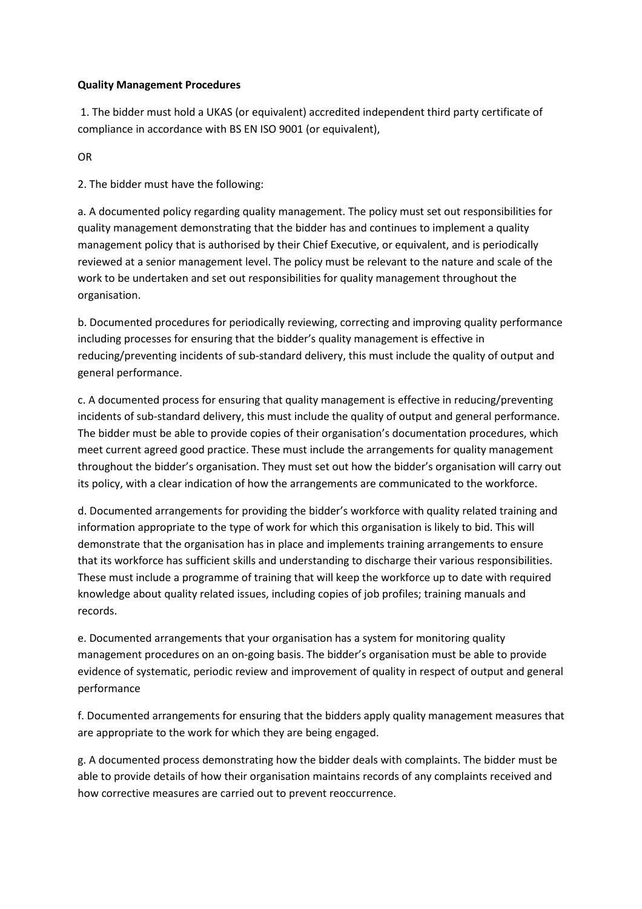# **Quality Management Procedures**

 1. The bidder must hold a UKAS (or equivalent) accredited independent third party certificate of compliance in accordance with BS EN ISO 9001 (or equivalent),

OR

2. The bidder must have the following:

a. A documented policy regarding quality management. The policy must set out responsibilities for quality management demonstrating that the bidder has and continues to implement a quality management policy that is authorised by their Chief Executive, or equivalent, and is periodically reviewed at a senior management level. The policy must be relevant to the nature and scale of the work to be undertaken and set out responsibilities for quality management throughout the organisation.

b. Documented procedures for periodically reviewing, correcting and improving quality performance including processes for ensuring that the bidder's quality management is effective in reducing/preventing incidents of sub-standard delivery, this must include the quality of output and general performance.

c. A documented process for ensuring that quality management is effective in reducing/preventing incidents of sub-standard delivery, this must include the quality of output and general performance. The bidder must be able to provide copies of their organisation's documentation procedures, which meet current agreed good practice. These must include the arrangements for quality management throughout the bidder's organisation. They must set out how the bidder's organisation will carry out its policy, with a clear indication of how the arrangements are communicated to the workforce.

d. Documented arrangements for providing the bidder's workforce with quality related training and information appropriate to the type of work for which this organisation is likely to bid. This will demonstrate that the organisation has in place and implements training arrangements to ensure that its workforce has sufficient skills and understanding to discharge their various responsibilities. These must include a programme of training that will keep the workforce up to date with required knowledge about quality related issues, including copies of job profiles; training manuals and records.

e. Documented arrangements that your organisation has a system for monitoring quality management procedures on an on-going basis. The bidder's organisation must be able to provide evidence of systematic, periodic review and improvement of quality in respect of output and general performance

f. Documented arrangements for ensuring that the bidders apply quality management measures that are appropriate to the work for which they are being engaged.

g. A documented process demonstrating how the bidder deals with complaints. The bidder must be able to provide details of how their organisation maintains records of any complaints received and how corrective measures are carried out to prevent reoccurrence.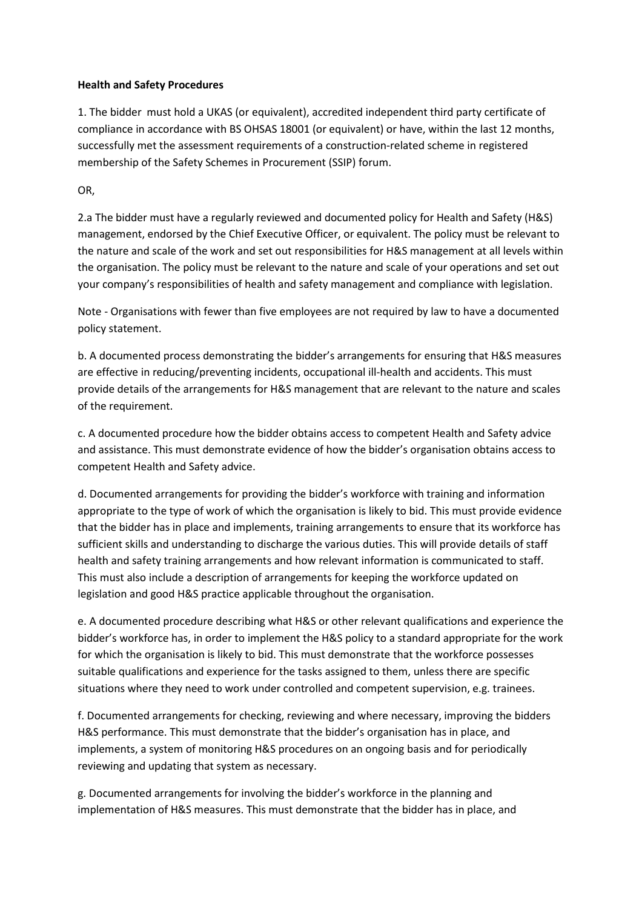# **Health and Safety Procedures**

1. The bidder must hold a UKAS (or equivalent), accredited independent third party certificate of compliance in accordance with BS OHSAS 18001 (or equivalent) or have, within the last 12 months, successfully met the assessment requirements of a construction-related scheme in registered membership of the Safety Schemes in Procurement (SSIP) forum.

OR,

2.a The bidder must have a regularly reviewed and documented policy for Health and Safety (H&S) management, endorsed by the Chief Executive Officer, or equivalent. The policy must be relevant to the nature and scale of the work and set out responsibilities for H&S management at all levels within the organisation. The policy must be relevant to the nature and scale of your operations and set out your company's responsibilities of health and safety management and compliance with legislation.

Note - Organisations with fewer than five employees are not required by law to have a documented policy statement.

b. A documented process demonstrating the bidder's arrangements for ensuring that H&S measures are effective in reducing/preventing incidents, occupational ill-health and accidents. This must provide details of the arrangements for H&S management that are relevant to the nature and scales of the requirement.

c. A documented procedure how the bidder obtains access to competent Health and Safety advice and assistance. This must demonstrate evidence of how the bidder's organisation obtains access to competent Health and Safety advice.

d. Documented arrangements for providing the bidder's workforce with training and information appropriate to the type of work of which the organisation is likely to bid. This must provide evidence that the bidder has in place and implements, training arrangements to ensure that its workforce has sufficient skills and understanding to discharge the various duties. This will provide details of staff health and safety training arrangements and how relevant information is communicated to staff. This must also include a description of arrangements for keeping the workforce updated on legislation and good H&S practice applicable throughout the organisation.

e. A documented procedure describing what H&S or other relevant qualifications and experience the bidder's workforce has, in order to implement the H&S policy to a standard appropriate for the work for which the organisation is likely to bid. This must demonstrate that the workforce possesses suitable qualifications and experience for the tasks assigned to them, unless there are specific situations where they need to work under controlled and competent supervision, e.g. trainees.

f. Documented arrangements for checking, reviewing and where necessary, improving the bidders H&S performance. This must demonstrate that the bidder's organisation has in place, and implements, a system of monitoring H&S procedures on an ongoing basis and for periodically reviewing and updating that system as necessary.

g. Documented arrangements for involving the bidder's workforce in the planning and implementation of H&S measures. This must demonstrate that the bidder has in place, and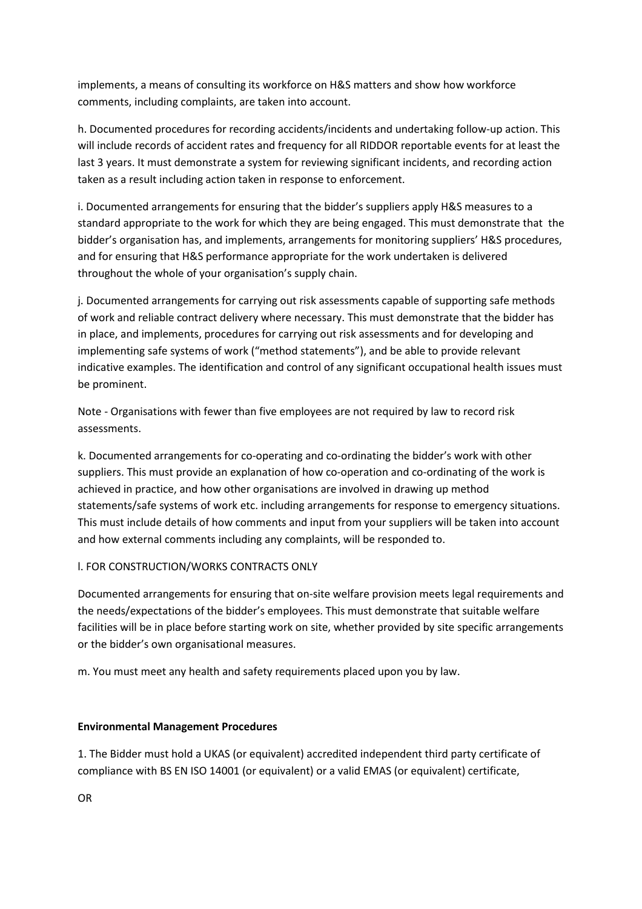implements, a means of consulting its workforce on H&S matters and show how workforce comments, including complaints, are taken into account.

h. Documented procedures for recording accidents/incidents and undertaking follow-up action. This will include records of accident rates and frequency for all RIDDOR reportable events for at least the last 3 years. It must demonstrate a system for reviewing significant incidents, and recording action taken as a result including action taken in response to enforcement.

i. Documented arrangements for ensuring that the bidder's suppliers apply H&S measures to a standard appropriate to the work for which they are being engaged. This must demonstrate that the bidder's organisation has, and implements, arrangements for monitoring suppliers' H&S procedures, and for ensuring that H&S performance appropriate for the work undertaken is delivered throughout the whole of your organisation's supply chain.

j. Documented arrangements for carrying out risk assessments capable of supporting safe methods of work and reliable contract delivery where necessary. This must demonstrate that the bidder has in place, and implements, procedures for carrying out risk assessments and for developing and implementing safe systems of work ("method statements"), and be able to provide relevant indicative examples. The identification and control of any significant occupational health issues must be prominent.

Note - Organisations with fewer than five employees are not required by law to record risk assessments.

k. Documented arrangements for co-operating and co-ordinating the bidder's work with other suppliers. This must provide an explanation of how co-operation and co-ordinating of the work is achieved in practice, and how other organisations are involved in drawing up method statements/safe systems of work etc. including arrangements for response to emergency situations. This must include details of how comments and input from your suppliers will be taken into account and how external comments including any complaints, will be responded to.

## l. FOR CONSTRUCTION/WORKS CONTRACTS ONLY

Documented arrangements for ensuring that on-site welfare provision meets legal requirements and the needs/expectations of the bidder's employees. This must demonstrate that suitable welfare facilities will be in place before starting work on site, whether provided by site specific arrangements or the bidder's own organisational measures.

m. You must meet any health and safety requirements placed upon you by law.

## **Environmental Management Procedures**

1. The Bidder must hold a UKAS (or equivalent) accredited independent third party certificate of compliance with BS EN ISO 14001 (or equivalent) or a valid EMAS (or equivalent) certificate,

OR